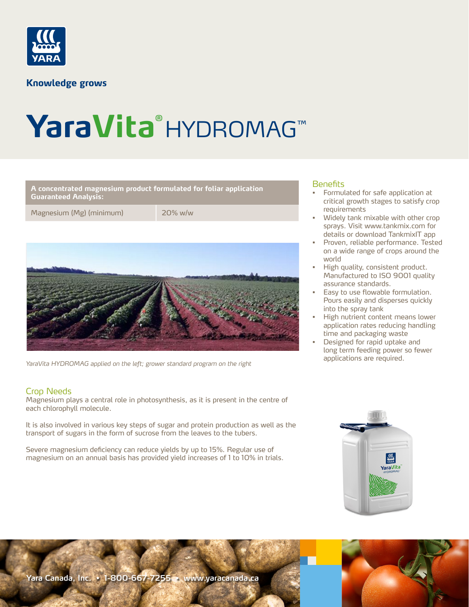

**Knowledge grows** 

# **YaraVita®** HYDROMAG™

**A concentrated magnesium product formulated for foliar application Guaranteed Analysis:** 

Magnesium (Mg) (minimum) 20% w/w



*YaraVita HYDROMAG applied on the left; grower standard program on the right*

# Crop Needs

Magnesium plays a central role in photosynthesis, as it is present in the centre of each chlorophyll molecule.

It is also involved in various key steps of sugar and protein production as well as the transport of sugars in the form of sucrose from the leaves to the tubers.

Severe magnesium deficiency can reduce yields by up to 15%. Regular use of magnesium on an annual basis has provided yield increases of 1 to 10% in trials.

# Benefits

- Formulated for safe application at critical growth stages to satisfy crop requirements
- Widely tank mixable with other crop sprays. Visit www.tankmix.com for details or download TankmixIT app
- Proven, reliable performance. Tested on a wide range of crops around the world
- High quality, consistent product. Manufactured to ISO 9001 quality assurance standards.
- Easy to use flowable formulation. Pours easily and disperses quickly into the spray tank
- High nutrient content means lower application rates reducing handling time and packaging waste
- Designed for rapid uptake and long term feeding power so fewer applications are required.